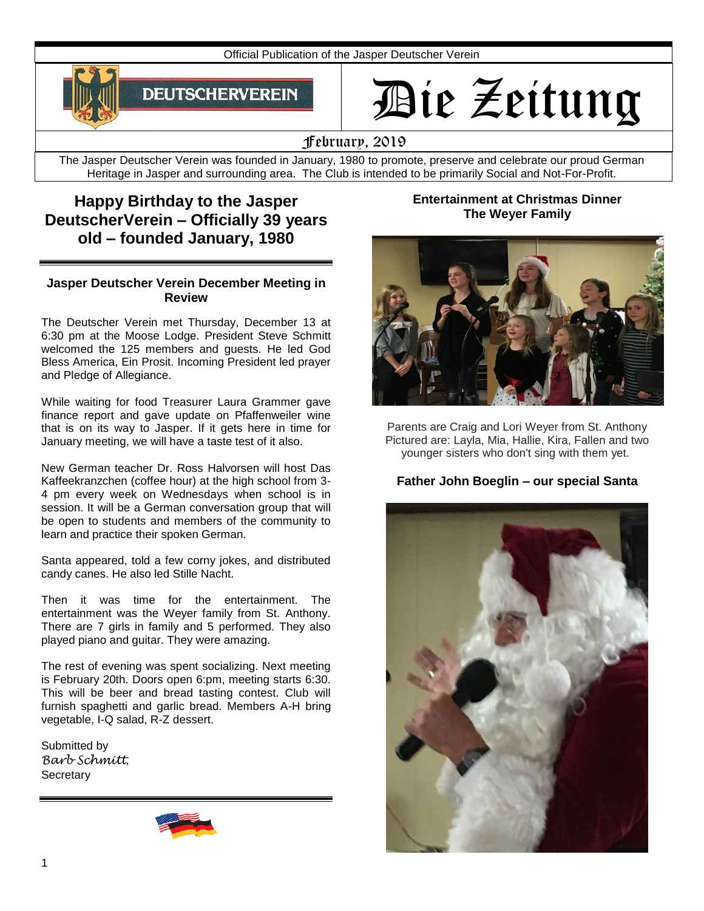Official Publication of the Jasper Deutscher Verein



# Die Zeitung

February, 2019

The Jasper Deutscher Verein was founded in January, 1980 to promote, preserve and celebrate our proud German Heritage in Jasper and surrounding area. The Club is intended to be primarily Social and Not-For-Profit.

# **Happy Birthday to the Jasper DeutscherVerein – Officially 39 years old – founded January, 1980**

#### **Jasper Deutscher Verein December Meeting in Review**

The Deutscher Verein met Thursday, December 13 at 6:30 pm at the Moose Lodge. President Steve Schmitt welcomed the 125 members and guests. He led God Bless America, Ein Prosit. Incoming President led prayer and Pledge of Allegiance.

While waiting for food Treasurer Laura Grammer gave finance report and gave update on Pfaffenweiler wine that is on its way to Jasper. If it gets here in time for January meeting, we will have a taste test of it also.

New German teacher Dr. Ross Halvorsen will host Das Kaffeekranzchen (coffee hour) at the high school from 3- 4 pm every week on Wednesdays when school is in session. It will be a German conversation group that will be open to students and members of the community to learn and practice their spoken German.

Santa appeared, told a few corny jokes, and distributed candy canes. He also led Stille Nacht.

Then it was time for the entertainment. The entertainment was the Weyer family from St. Anthony. There are 7 girls in family and 5 performed. They also played piano and guitar. They were amazing.

The rest of evening was spent socializing. Next meeting is February 20th. Doors open 6:pm, meeting starts 6:30. This will be beer and bread tasting contest. Club will furnish spaghetti and garlic bread. Members A-H bring vegetable, I-Q salad, R-Z dessert.

Submitted by *Barb Schmitt*, **Secretary** 



#### **Entertainment at Christmas Dinner The Weyer Family**



Parents are Craig and Lori Weyer from St. Anthony Pictured are: Layla, Mia, Hallie, Kira, Fallen and two younger sisters who don't sing with them yet.

### **Father John Boeglin – our special Santa**

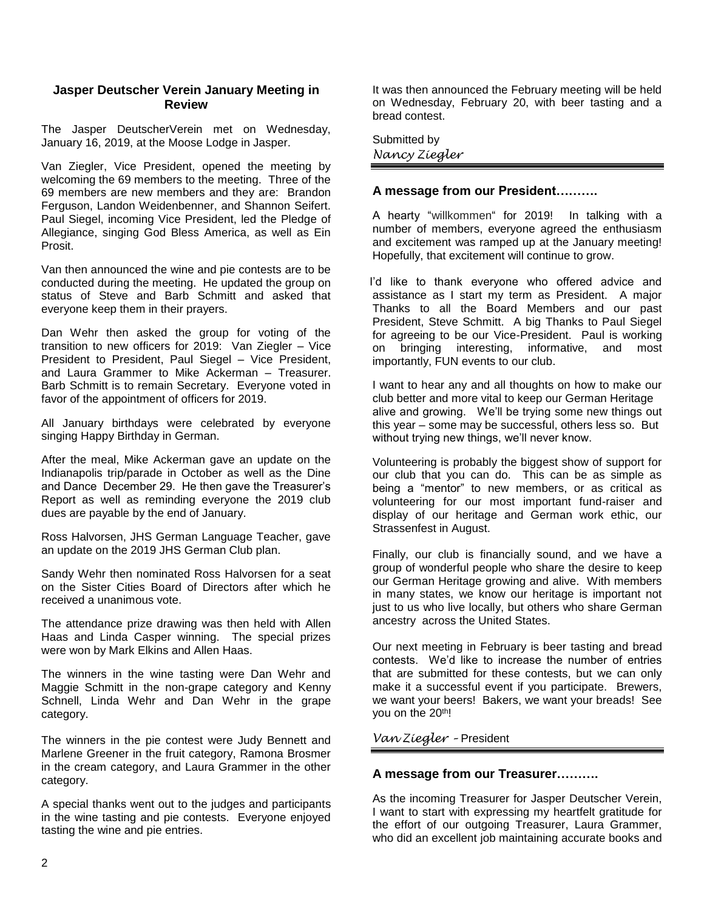#### **Jasper Deutscher Verein January Meeting in Review**

The Jasper DeutscherVerein met on Wednesday, January 16, 2019, at the Moose Lodge in Jasper.

Van Ziegler, Vice President, opened the meeting by welcoming the 69 members to the meeting. Three of the 69 members are new members and they are: Brandon Ferguson, Landon Weidenbenner, and Shannon Seifert. Paul Siegel, incoming Vice President, led the Pledge of Allegiance, singing God Bless America, as well as Ein Prosit.

Van then announced the wine and pie contests are to be conducted during the meeting. He updated the group on status of Steve and Barb Schmitt and asked that everyone keep them in their prayers.

Dan Wehr then asked the group for voting of the transition to new officers for 2019: Van Ziegler – Vice President to President, Paul Siegel – Vice President, and Laura Grammer to Mike Ackerman – Treasurer. Barb Schmitt is to remain Secretary. Everyone voted in favor of the appointment of officers for 2019.

All January birthdays were celebrated by everyone singing Happy Birthday in German.

After the meal, Mike Ackerman gave an update on the Indianapolis trip/parade in October as well as the Dine and Dance December 29. He then gave the Treasurer's Report as well as reminding everyone the 2019 club dues are payable by the end of January.

Ross Halvorsen, JHS German Language Teacher, gave an update on the 2019 JHS German Club plan.

Sandy Wehr then nominated Ross Halvorsen for a seat on the Sister Cities Board of Directors after which he received a unanimous vote.

The attendance prize drawing was then held with Allen Haas and Linda Casper winning. The special prizes were won by Mark Elkins and Allen Haas.

The winners in the wine tasting were Dan Wehr and Maggie Schmitt in the non-grape category and Kenny Schnell, Linda Wehr and Dan Wehr in the grape category.

The winners in the pie contest were Judy Bennett and Marlene Greener in the fruit category, Ramona Brosmer in the cream category, and Laura Grammer in the other category.

A special thanks went out to the judges and participants in the wine tasting and pie contests. Everyone enjoyed tasting the wine and pie entries.

It was then announced the February meeting will be held on Wednesday, February 20, with beer tasting and a bread contest.

Submitted by *Nancy Ziegler*

#### **A message from our President……….**

A hearty "willkommen" for 2019! In talking with a number of members, everyone agreed the enthusiasm and excitement was ramped up at the January meeting! Hopefully, that excitement will continue to grow.

 I'd like to thank everyone who offered advice and assistance as I start my term as President. A major Thanks to all the Board Members and our past President, Steve Schmitt. A big Thanks to Paul Siegel for agreeing to be our Vice-President. Paul is working on bringing interesting, informative, and most importantly, FUN events to our club.

I want to hear any and all thoughts on how to make our club better and more vital to keep our German Heritage alive and growing. We'll be trying some new things out this year – some may be successful, others less so. But without trying new things, we'll never know.

Volunteering is probably the biggest show of support for our club that you can do. This can be as simple as being a "mentor" to new members, or as critical as volunteering for our most important fund-raiser and display of our heritage and German work ethic, our Strassenfest in August.

Finally, our club is financially sound, and we have a group of wonderful people who share the desire to keep our German Heritage growing and alive. With members in many states, we know our heritage is important not just to us who live locally, but others who share German ancestry across the United States.

Our next meeting in February is beer tasting and bread contests. We'd like to increase the number of entries that are submitted for these contests, but we can only make it a successful event if you participate. Brewers, we want your beers! Bakers, we want your breads! See you on the 20<sup>th</sup>!

#### *Van Ziegler –* President

#### **A message from our Treasurer……….**

As the incoming Treasurer for Jasper Deutscher Verein, I want to start with expressing my heartfelt gratitude for the effort of our outgoing Treasurer, Laura Grammer, who did an excellent job maintaining accurate books and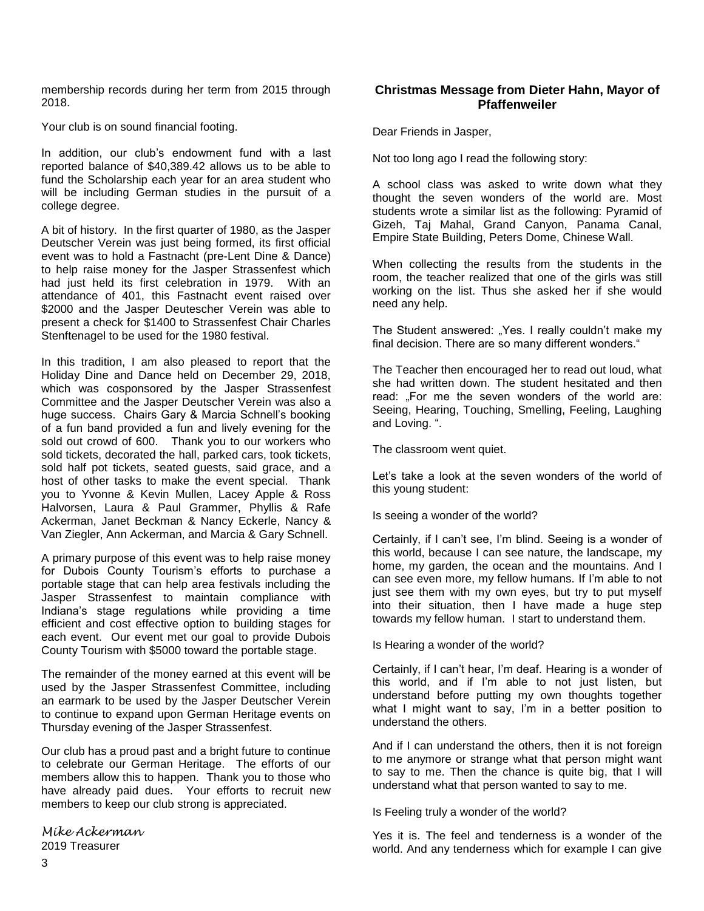membership records during her term from 2015 through 2018.

Your club is on sound financial footing.

In addition, our club's endowment fund with a last reported balance of \$40,389.42 allows us to be able to fund the Scholarship each year for an area student who will be including German studies in the pursuit of a college degree.

A bit of history. In the first quarter of 1980, as the Jasper Deutscher Verein was just being formed, its first official event was to hold a Fastnacht (pre-Lent Dine & Dance) to help raise money for the Jasper Strassenfest which had just held its first celebration in 1979. With an attendance of 401, this Fastnacht event raised over \$2000 and the Jasper Deutescher Verein was able to present a check for \$1400 to Strassenfest Chair Charles Stenftenagel to be used for the 1980 festival.

In this tradition, I am also pleased to report that the Holiday Dine and Dance held on December 29, 2018, which was cosponsored by the Jasper Strassenfest Committee and the Jasper Deutscher Verein was also a huge success. Chairs Gary & Marcia Schnell's booking of a fun band provided a fun and lively evening for the sold out crowd of 600. Thank you to our workers who sold tickets, decorated the hall, parked cars, took tickets, sold half pot tickets, seated guests, said grace, and a host of other tasks to make the event special. Thank you to Yvonne & Kevin Mullen, Lacey Apple & Ross Halvorsen, Laura & Paul Grammer, Phyllis & Rafe Ackerman, Janet Beckman & Nancy Eckerle, Nancy & Van Ziegler, Ann Ackerman, and Marcia & Gary Schnell.

A primary purpose of this event was to help raise money for Dubois County Tourism's efforts to purchase a portable stage that can help area festivals including the Jasper Strassenfest to maintain compliance with Indiana's stage regulations while providing a time efficient and cost effective option to building stages for each event. Our event met our goal to provide Dubois County Tourism with \$5000 toward the portable stage.

The remainder of the money earned at this event will be used by the Jasper Strassenfest Committee, including an earmark to be used by the Jasper Deutscher Verein to continue to expand upon German Heritage events on Thursday evening of the Jasper Strassenfest.

Our club has a proud past and a bright future to continue to celebrate our German Heritage. The efforts of our members allow this to happen. Thank you to those who have already paid dues. Your efforts to recruit new members to keep our club strong is appreciated.

*Mike Ackerman* 2019 Treasurer

#### **Christmas Message from Dieter Hahn, Mayor of Pfaffenweiler**

Dear Friends in Jasper,

Not too long ago I read the following story:

A school class was asked to write down what they thought the seven wonders of the world are. Most students wrote a similar list as the following: Pyramid of Gizeh, Taj Mahal, Grand Canyon, Panama Canal, Empire State Building, Peters Dome, Chinese Wall.

When collecting the results from the students in the room, the teacher realized that one of the girls was still working on the list. Thus she asked her if she would need any help.

The Student answered: "Yes. I really couldn't make my final decision. There are so many different wonders."

The Teacher then encouraged her to read out loud, what she had written down. The student hesitated and then read: "For me the seven wonders of the world are: Seeing, Hearing, Touching, Smelling, Feeling, Laughing and Loving. ".

The classroom went quiet.

Let's take a look at the seven wonders of the world of this young student:

Is seeing a wonder of the world?

Certainly, if I can't see, I'm blind. Seeing is a wonder of this world, because I can see nature, the landscape, my home, my garden, the ocean and the mountains. And I can see even more, my fellow humans. If I'm able to not just see them with my own eyes, but try to put myself into their situation, then I have made a huge step towards my fellow human. I start to understand them.

Is Hearing a wonder of the world?

Certainly, if I can't hear, I'm deaf. Hearing is a wonder of this world, and if I'm able to not just listen, but understand before putting my own thoughts together what I might want to say, I'm in a better position to understand the others.

And if I can understand the others, then it is not foreign to me anymore or strange what that person might want to say to me. Then the chance is quite big, that I will understand what that person wanted to say to me.

Is Feeling truly a wonder of the world?

Yes it is. The feel and tenderness is a wonder of the world. And any tenderness which for example I can give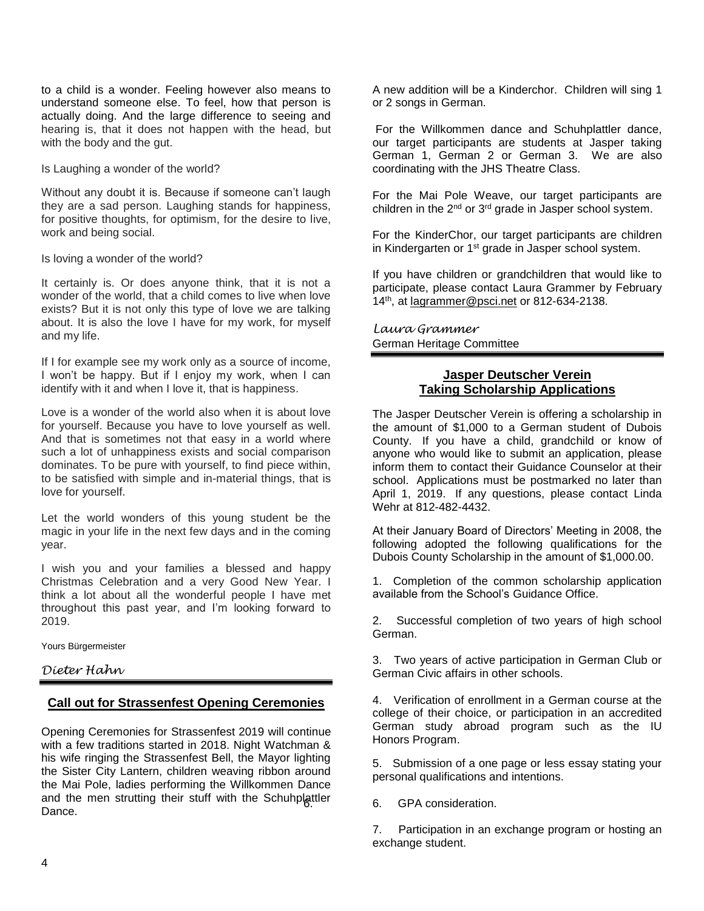to a child is a wonder. Feeling however also means to understand someone else. To feel, how that person is actually doing. And the large difference to seeing and hearing is, that it does not happen with the head, but with the body and the gut.

Is Laughing a wonder of the world?

Without any doubt it is. Because if someone can't laugh they are a sad person. Laughing stands for happiness, for positive thoughts, for optimism, for the desire to live, work and being social.

Is loving a wonder of the world?

It certainly is. Or does anyone think, that it is not a wonder of the world, that a child comes to live when love exists? But it is not only this type of love we are talking about. It is also the love I have for my work, for myself and my life.

If I for example see my work only as a source of income, I won't be happy. But if I enjoy my work, when I can identify with it and when I love it, that is happiness.

Love is a wonder of the world also when it is about love for yourself. Because you have to love yourself as well. And that is sometimes not that easy in a world where such a lot of unhappiness exists and social comparison dominates. To be pure with yourself, to find piece within, to be satisfied with simple and in-material things, that is love for yourself.

Let the world wonders of this young student be the magic in your life in the next few days and in the coming year.

I wish you and your families a blessed and happy Christmas Celebration and a very Good New Year. I think a lot about all the wonderful people I have met throughout this past year, and I'm looking forward to 2019.

Yours Bürgermeister

*Dieter Hahn* 

#### **Call out for Strassenfest Opening Ceremonies**

Opening Ceremonies for Strassenfest 2019 will continue with a few traditions started in 2018. Night Watchman & his wife ringing the Strassenfest Bell, the Mayor lighting the Sister City Lantern, children weaving ribbon around the Mai Pole, ladies performing the Willkommen Dance and the men strutting their stuff with the Schuhplattler Dance.

A new addition will be a Kinderchor. Children will sing 1 or 2 songs in German.

For the Willkommen dance and Schuhplattler dance, our target participants are students at Jasper taking German 1, German 2 or German 3. We are also coordinating with the JHS Theatre Class.

For the Mai Pole Weave, our target participants are children in the 2<sup>nd</sup> or 3<sup>rd</sup> grade in Jasper school system.

For the KinderChor, our target participants are children in Kindergarten or 1<sup>st</sup> grade in Jasper school system.

If you have children or grandchildren that would like to participate, please contact Laura Grammer by February 14<sup>th</sup>, at [lagrammer@psci.net](mailto:lagrammer@psci.net) or 812-634-2138.

*Laura Grammer* German Heritage Committee

#### **Jasper Deutscher Verein Taking Scholarship Applications**

The Jasper Deutscher Verein is offering a scholarship in the amount of \$1,000 to a German student of Dubois County. If you have a child, grandchild or know of anyone who would like to submit an application, please inform them to contact their Guidance Counselor at their school. Applications must be postmarked no later than April 1, 2019. If any questions, please contact Linda Wehr at 812-482-4432.

At their January Board of Directors' Meeting in 2008, the following adopted the following qualifications for the Dubois County Scholarship in the amount of \$1,000.00.

1. Completion of the common scholarship application available from the School's Guidance Office.

2. Successful completion of two years of high school German.

3. Two years of active participation in German Club or German Civic affairs in other schools.

4. Verification of enrollment in a German course at the college of their choice, or participation in an accredited German study abroad program such as the IU Honors Program.

5. Submission of a one page or less essay stating your personal qualifications and intentions.

6. 6. GPA consideration.

7. Participation in an exchange program or hosting an exchange student.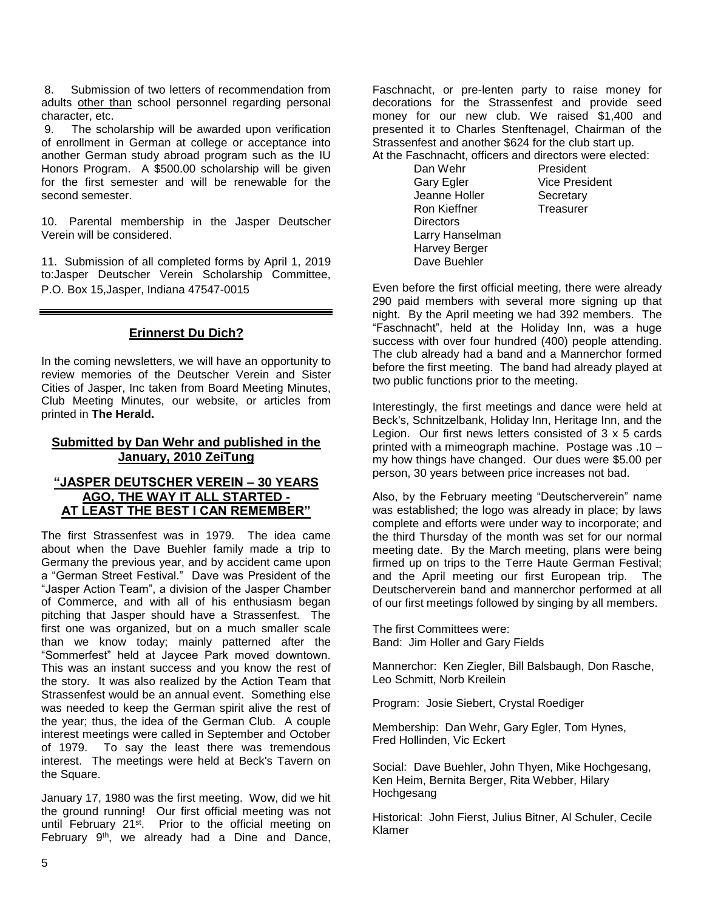8. Submission of two letters of recommendation from adults other than school personnel regarding personal character, etc.

9. The scholarship will be awarded upon verification of enrollment in German at college or acceptance into another German study abroad program such as the IU Honors Program. A \$500.00 scholarship will be given for the first semester and will be renewable for the second semester.

10. Parental membership in the Jasper Deutscher Verein will be considered.

11. Submission of all completed forms by April 1, 2019 to:Jasper Deutscher Verein Scholarship Committee, P.O. Box 15,Jasper, Indiana 47547-0015

#### **Erinnerst Du Dich?**

In the coming newsletters, we will have an opportunity to review memories of the Deutscher Verein and Sister Cities of Jasper, Inc taken from Board Meeting Minutes, Club Meeting Minutes, our website, or articles from printed in **The Herald.**

#### **Submitted by Dan Wehr and published in the January, 2010 ZeiTung**

#### **"JASPER DEUTSCHER VEREIN – 30 YEARS AGO, THE WAY IT ALL STARTED - AT LEAST THE BEST I CAN REMEMBER"**

The first Strassenfest was in 1979. The idea came about when the Dave Buehler family made a trip to Germany the previous year, and by accident came upon a "German Street Festival." Dave was President of the "Jasper Action Team", a division of the Jasper Chamber of Commerce, and with all of his enthusiasm began pitching that Jasper should have a Strassenfest. The first one was organized, but on a much smaller scale than we know today; mainly patterned after the "Sommerfest" held at Jaycee Park moved downtown. This was an instant success and you know the rest of the story. It was also realized by the Action Team that Strassenfest would be an annual event. Something else was needed to keep the German spirit alive the rest of the year; thus, the idea of the German Club. A couple interest meetings were called in September and October of 1979. To say the least there was tremendous interest. The meetings were held at Beck's Tavern on the Square.

January 17, 1980 was the first meeting. Wow, did we hit the ground running! Our first official meeting was not until February 21<sup>st</sup>. Prior to the official meeting on February 9<sup>th</sup>, we already had a Dine and Dance,

Faschnacht, or pre-lenten party to raise money for decorations for the Strassenfest and provide seed money for our new club. We raised \$1,400 and presented it to Charles Stenftenagel, Chairman of the Strassenfest and another \$624 for the club start up.

At the Faschnacht, officers and directors were elected:

Dan Wehr President Gary Egler **Vice President** Jeanne Holler Secretary<br>
Ron Kieffner Treasurer Ron Kieffner **Directors** Larry Hanselman Harvey Berger Dave Buehler

Even before the first official meeting, there were already 290 paid members with several more signing up that night. By the April meeting we had 392 members. The "Faschnacht", held at the Holiday Inn, was a huge success with over four hundred (400) people attending. The club already had a band and a Mannerchor formed before the first meeting. The band had already played at two public functions prior to the meeting.

Interestingly, the first meetings and dance were held at Beck's, Schnitzelbank, Holiday Inn, Heritage Inn, and the Legion. Our first news letters consisted of 3 x 5 cards printed with a mimeograph machine. Postage was .10 – my how things have changed. Our dues were \$5.00 per person, 30 years between price increases not bad.

Also, by the February meeting "Deutscherverein" name was established; the logo was already in place; by laws complete and efforts were under way to incorporate; and the third Thursday of the month was set for our normal meeting date. By the March meeting, plans were being firmed up on trips to the Terre Haute German Festival; and the April meeting our first European trip. The Deutscherverein band and mannerchor performed at all of our first meetings followed by singing by all members.

The first Committees were: Band: Jim Holler and Gary Fields

Mannerchor: Ken Ziegler, Bill Balsbaugh, Don Rasche, Leo Schmitt, Norb Kreilein

Program: Josie Siebert, Crystal Roediger

Membership: Dan Wehr, Gary Egler, Tom Hynes, Fred Hollinden, Vic Eckert

Social: Dave Buehler, John Thyen, Mike Hochgesang, Ken Heim, Bernita Berger, Rita Webber, Hilary **Hochgesang** 

Historical: John Fierst, Julius Bitner, Al Schuler, Cecile Klamer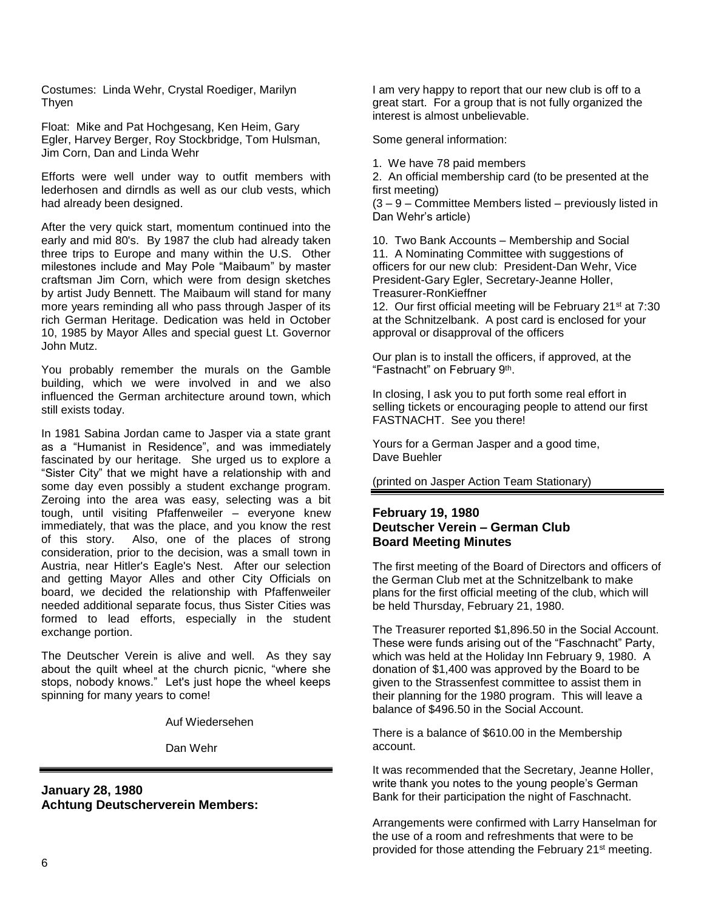Costumes: Linda Wehr, Crystal Roediger, Marilyn **Thven** 

Float: Mike and Pat Hochgesang, Ken Heim, Gary Egler, Harvey Berger, Roy Stockbridge, Tom Hulsman, Jim Corn, Dan and Linda Wehr

Efforts were well under way to outfit members with lederhosen and dirndls as well as our club vests, which had already been designed.

After the very quick start, momentum continued into the early and mid 80's. By 1987 the club had already taken three trips to Europe and many within the U.S. Other milestones include and May Pole "Maibaum" by master craftsman Jim Corn, which were from design sketches by artist Judy Bennett. The Maibaum will stand for many more years reminding all who pass through Jasper of its rich German Heritage. Dedication was held in October 10, 1985 by Mayor Alles and special guest Lt. Governor John Mutz.

You probably remember the murals on the Gamble building, which we were involved in and we also influenced the German architecture around town, which still exists today.

In 1981 Sabina Jordan came to Jasper via a state grant as a "Humanist in Residence", and was immediately fascinated by our heritage. She urged us to explore a "Sister City" that we might have a relationship with and some day even possibly a student exchange program. Zeroing into the area was easy, selecting was a bit tough, until visiting Pfaffenweiler – everyone knew immediately, that was the place, and you know the rest of this story. Also, one of the places of strong consideration, prior to the decision, was a small town in Austria, near Hitler's Eagle's Nest. After our selection and getting Mayor Alles and other City Officials on board, we decided the relationship with Pfaffenweiler needed additional separate focus, thus Sister Cities was formed to lead efforts, especially in the student exchange portion.

The Deutscher Verein is alive and well. As they say about the quilt wheel at the church picnic, "where she stops, nobody knows." Let's just hope the wheel keeps spinning for many years to come!

Auf Wiedersehen

Dan Wehr

**January 28, 1980 Achtung Deutscherverein Members:** I am very happy to report that our new club is off to a great start. For a group that is not fully organized the interest is almost unbelievable.

Some general information:

1. We have 78 paid members

2. An official membership card (to be presented at the first meeting)

(3 – 9 – Committee Members listed – previously listed in Dan Wehr's article)

10. Two Bank Accounts – Membership and Social 11. A Nominating Committee with suggestions of officers for our new club: President-Dan Wehr, Vice President-Gary Egler, Secretary-Jeanne Holler, Treasurer-RonKieffner

12. Our first official meeting will be February 21<sup>st</sup> at 7:30 at the Schnitzelbank. A post card is enclosed for your approval or disapproval of the officers

Our plan is to install the officers, if approved, at the "Fastnacht" on February 9<sup>th</sup>.

In closing, I ask you to put forth some real effort in selling tickets or encouraging people to attend our first FASTNACHT. See you there!

Yours for a German Jasper and a good time, Dave Buehler

(printed on Jasper Action Team Stationary)

#### **February 19, 1980 Deutscher Verein – German Club Board Meeting Minutes**

The first meeting of the Board of Directors and officers of the German Club met at the Schnitzelbank to make plans for the first official meeting of the club, which will be held Thursday, February 21, 1980.

The Treasurer reported \$1,896.50 in the Social Account. These were funds arising out of the "Faschnacht" Party, which was held at the Holiday Inn February 9, 1980. A donation of \$1,400 was approved by the Board to be given to the Strassenfest committee to assist them in their planning for the 1980 program. This will leave a balance of \$496.50 in the Social Account.

There is a balance of \$610.00 in the Membership account.

It was recommended that the Secretary, Jeanne Holler, write thank you notes to the young people's German Bank for their participation the night of Faschnacht.

Arrangements were confirmed with Larry Hanselman for the use of a room and refreshments that were to be provided for those attending the February 21st meeting.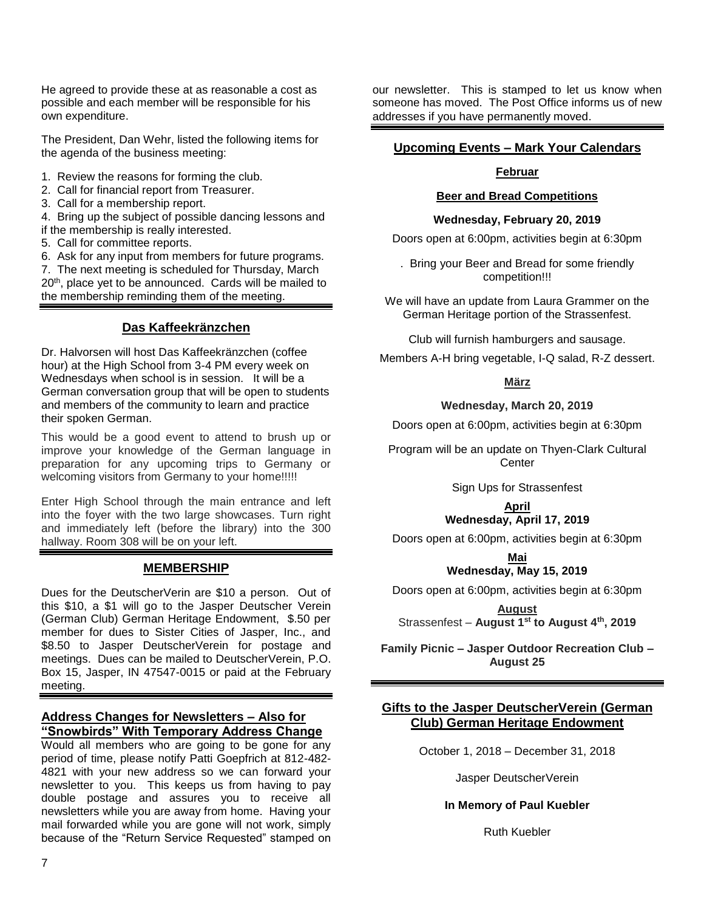He agreed to provide these at as reasonable a cost as possible and each member will be responsible for his own expenditure.

The President, Dan Wehr, listed the following items for the agenda of the business meeting:

- 1. Review the reasons for forming the club.
- 2. Call for financial report from Treasurer.
- 3. Call for a membership report.

4. Bring up the subject of possible dancing lessons and if the membership is really interested.

5. Call for committee reports.

6. Ask for any input from members for future programs.

7. The next meeting is scheduled for Thursday, March 20<sup>th</sup>, place yet to be announced. Cards will be mailed to the membership reminding them of the meeting.

#### **Das Kaffeekränzchen**

Dr. Halvorsen will host Das Kaffeekränzchen (coffee hour) at the High School from 3-4 PM every week on Wednesdays when school is in session. It will be a German conversation group that will be open to students and members of the community to learn and practice their spoken German.

This would be a good event to attend to brush up or improve your knowledge of the German language in preparation for any upcoming trips to Germany or welcoming visitors from Germany to your home!!!!!

Enter High School through the main entrance and left into the foyer with the two large showcases. Turn right and immediately left (before the library) into the 300 hallway. Room 308 will be on your left.

#### **MEMBERSHIP**

Dues for the DeutscherVerin are \$10 a person. Out of this \$10, a \$1 will go to the Jasper Deutscher Verein (German Club) German Heritage Endowment, \$.50 per member for dues to Sister Cities of Jasper, Inc., and \$8.50 to Jasper DeutscherVerein for postage and meetings. Dues can be mailed to DeutscherVerein, P.O. Box 15, Jasper, IN 47547-0015 or paid at the February meeting.

#### **Address Changes for Newsletters – Also for "Snowbirds" With Temporary Address Change**

Would all members who are going to be gone for any period of time, please notify Patti Goepfrich at 812-482- 4821 with your new address so we can forward your newsletter to you. This keeps us from having to pay double postage and assures you to receive all newsletters while you are away from home. Having your mail forwarded while you are gone will not work, simply because of the "Return Service Requested" stamped on

our newsletter. This is stamped to let us know when someone has moved. The Post Office informs us of new addresses if you have permanently moved.

#### **Upcoming Events – Mark Your Calendars**

#### **Februar**

#### **Beer and Bread Competitions**

#### **Wednesday, February 20, 2019**

Doors open at 6:00pm, activities begin at 6:30pm

. Bring your Beer and Bread for some friendly competition!!!

We will have an update from Laura Grammer on the German Heritage portion of the Strassenfest.

Club will furnish hamburgers and sausage.

Members A-H bring vegetable, I-Q salad, R-Z dessert.

#### **März**

#### **Wednesday, March 20, 2019**

Doors open at 6:00pm, activities begin at 6:30pm

Program will be an update on Thyen-Clark Cultural **Center** 

Sign Ups for Strassenfest

**April Wednesday, April 17, 2019**

Doors open at 6:00pm, activities begin at 6:30pm

**Mai Wednesday, May 15, 2019**

Doors open at 6:00pm, activities begin at 6:30pm

**August** Strassenfest – **August 1st to August 4th, 2019**

**Family Picnic – Jasper Outdoor Recreation Club – August 25**

#### **Gifts to the Jasper DeutscherVerein (German Club) German Heritage Endowment**

October 1, 2018 – December 31, 2018

Jasper DeutscherVerein

#### **In Memory of Paul Kuebler**

Ruth Kuebler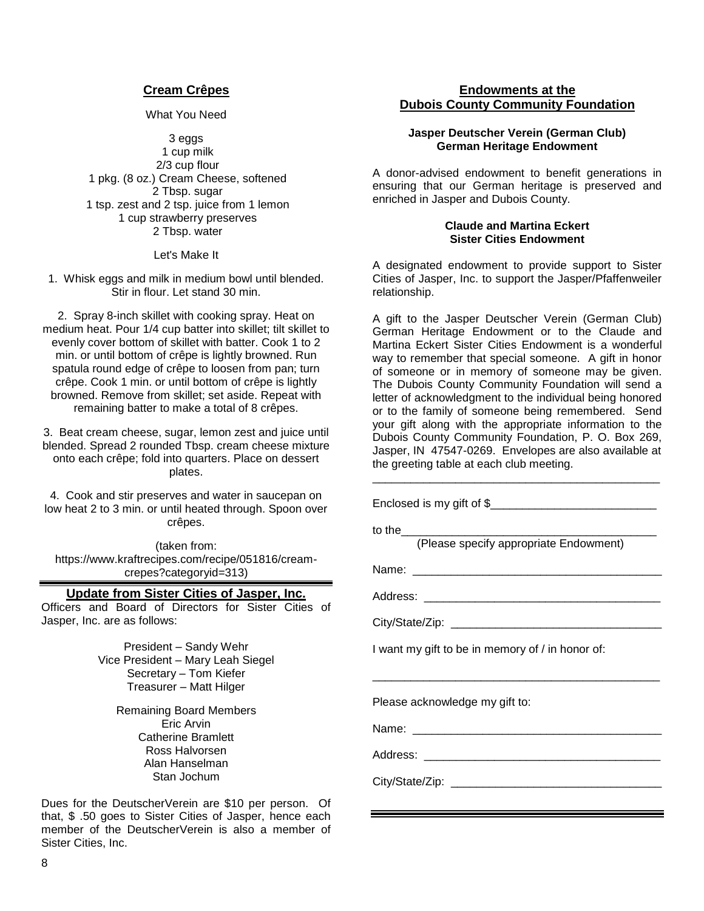#### **Cream Crêpes**

What You Need

3 eggs 1 cup milk 2/3 cup flour 1 pkg. (8 oz.) Cream Cheese, softened 2 Tbsp. sugar 1 tsp. zest and 2 tsp. juice from 1 lemon 1 cup strawberry preserves 2 Tbsp. water

Let's Make It

1. Whisk eggs and milk in medium bowl until blended. Stir in flour. Let stand 30 min.

2. Spray 8-inch skillet with cooking spray. Heat on medium heat. Pour 1/4 cup batter into skillet; tilt skillet to evenly cover bottom of skillet with batter. Cook 1 to 2 min. or until bottom of crêpe is lightly browned. Run spatula round edge of crêpe to loosen from pan; turn crêpe. Cook 1 min. or until bottom of crêpe is lightly browned. Remove from skillet; set aside. Repeat with remaining batter to make a total of 8 crêpes.

3. Beat cream cheese, sugar, lemon zest and juice until blended. Spread 2 rounded Tbsp. cream cheese mixture onto each crêpe; fold into quarters. Place on dessert plates.

4. Cook and stir preserves and water in saucepan on low heat 2 to 3 min. or until heated through. Spoon over crêpes.

(taken from: https://www.kraftrecipes.com/recipe/051816/creamcrepes?categoryid=313)

#### **Update from Sister Cities of Jasper, Inc.**

Officers and Board of Directors for Sister Cities of Jasper, Inc. are as follows:

> President – Sandy Wehr Vice President – Mary Leah Siegel Secretary – Tom Kiefer Treasurer – Matt Hilger

> > Remaining Board Members Eric Arvin Catherine Bramlett Ross Halvorsen Alan Hanselman Stan Jochum

Dues for the DeutscherVerein are \$10 per person. Of that, \$ .50 goes to Sister Cities of Jasper, hence each member of the DeutscherVerein is also a member of Sister Cities, Inc.

#### **Endowments at the Dubois County Community Foundation**

#### **Jasper Deutscher Verein (German Club) German Heritage Endowment**

A donor-advised endowment to benefit generations in ensuring that our German heritage is preserved and enriched in Jasper and Dubois County.

#### **Claude and Martina Eckert Sister Cities Endowment**

A designated endowment to provide support to Sister Cities of Jasper, Inc. to support the Jasper/Pfaffenweiler relationship.

A gift to the Jasper Deutscher Verein (German Club) German Heritage Endowment or to the Claude and Martina Eckert Sister Cities Endowment is a wonderful way to remember that special someone. A gift in honor of someone or in memory of someone may be given. The Dubois County Community Foundation will send a letter of acknowledgment to the individual being honored or to the family of someone being remembered. Send your gift along with the appropriate information to the Dubois County Community Foundation, P. O. Box 269, Jasper, IN 47547-0269. Envelopes are also available at the greeting table at each club meeting.

\_\_\_\_\_\_\_\_\_\_\_\_\_\_\_\_\_\_\_\_\_\_\_\_\_\_\_\_\_\_\_\_\_\_\_\_\_\_\_\_\_\_\_\_\_

| Enclosed is my gift of \$                        |
|--------------------------------------------------|
| to the<br>(Please specify appropriate Endowment) |
|                                                  |
|                                                  |
|                                                  |
| I want my gift to be in memory of / in honor of: |
| Please acknowledge my gift to:                   |
|                                                  |
|                                                  |
|                                                  |
|                                                  |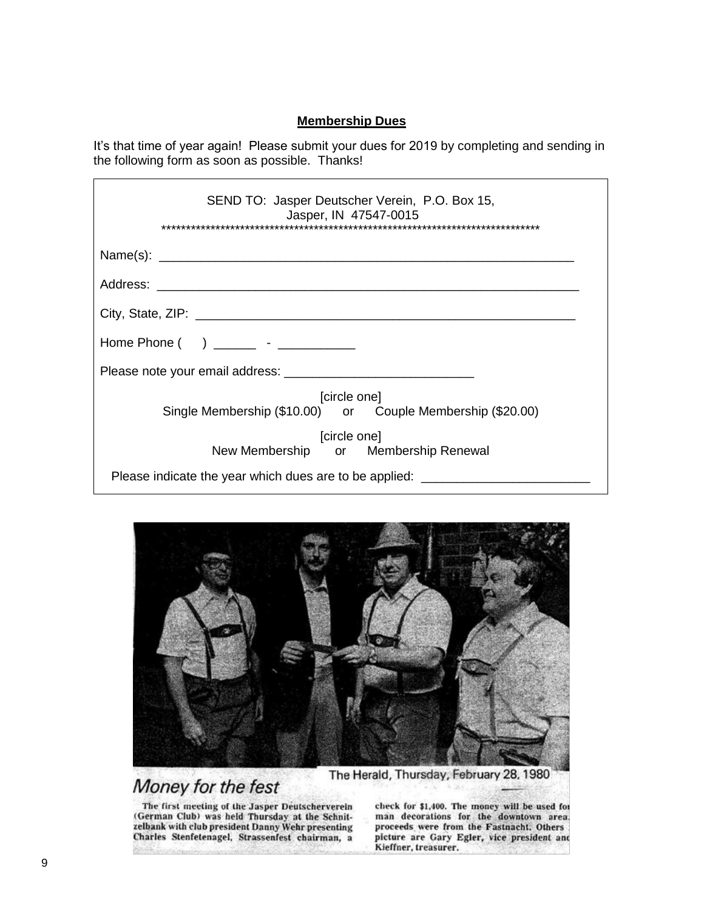#### **Membership Dues**

It's that time of year again! Please submit your dues for 2019 by completing and sending in the following form as soon as possible. Thanks!

| SEND TO: Jasper Deutscher Verein, P.O. Box 15,<br>Jasper, IN 47547-0015    |
|----------------------------------------------------------------------------|
|                                                                            |
|                                                                            |
|                                                                            |
| Home Phone ( ) ________ - __________                                       |
|                                                                            |
| [circle one]<br>Single Membership (\$10.00) or Couple Membership (\$20.00) |
| [circle one]<br>New Membership or Membership Renewal                       |
| Please indicate the year which dues are to be applied:                     |



# Money for the fest

The first meeting of the Jasper Deutscherverein (German Club) was held Thursday at the Schnitzelbank with club president Danny Wehr presenting<br>Charles Stenfetenagel, Strassenfest chairman, a check for \$1,400. The money will be used for man decorations for the downtown area. proceeds were from the Fastnacht. Others picture are Gary Egler, vice president and Kieffner, treasurer.